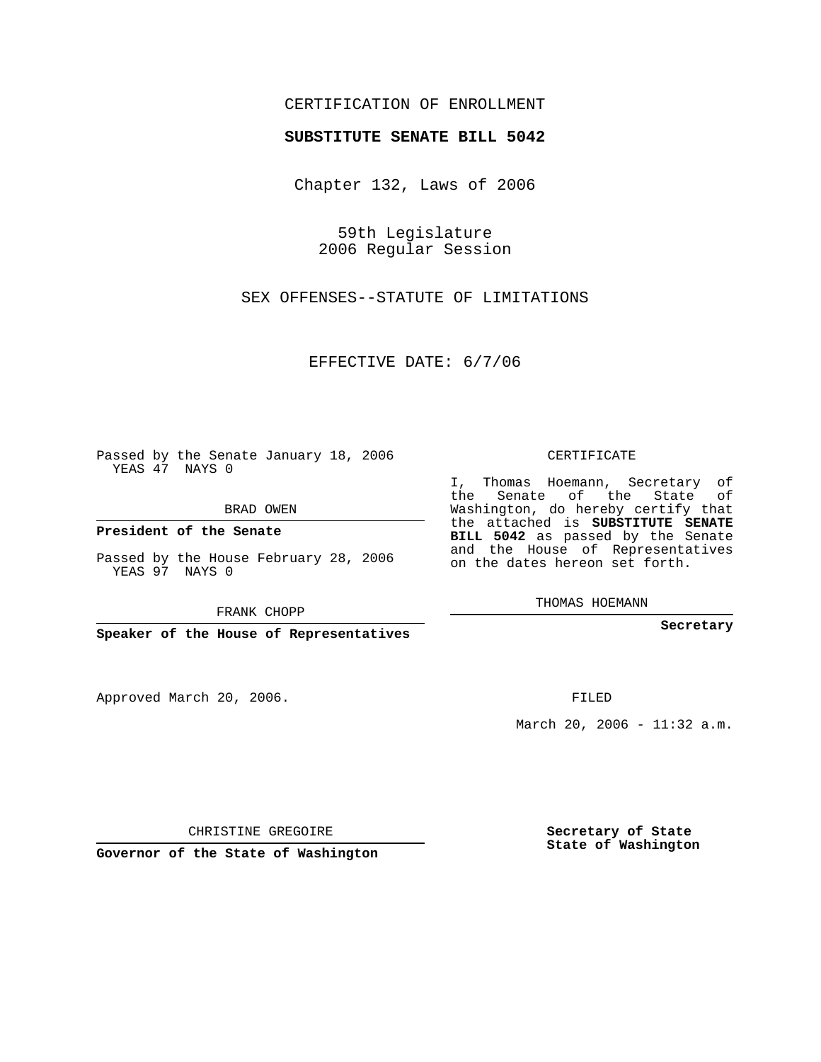## CERTIFICATION OF ENROLLMENT

## **SUBSTITUTE SENATE BILL 5042**

Chapter 132, Laws of 2006

59th Legislature 2006 Regular Session

SEX OFFENSES--STATUTE OF LIMITATIONS

EFFECTIVE DATE: 6/7/06

Passed by the Senate January 18, 2006 YEAS 47 NAYS 0

BRAD OWEN

**President of the Senate**

Passed by the House February 28, 2006 YEAS 97 NAYS 0

FRANK CHOPP

**Speaker of the House of Representatives**

Approved March 20, 2006.

CERTIFICATE

I, Thomas Hoemann, Secretary of the Senate of the State of Washington, do hereby certify that the attached is **SUBSTITUTE SENATE BILL 5042** as passed by the Senate and the House of Representatives on the dates hereon set forth.

THOMAS HOEMANN

**Secretary**

FILED

March 20, 2006 - 11:32 a.m.

CHRISTINE GREGOIRE

**Governor of the State of Washington**

**Secretary of State State of Washington**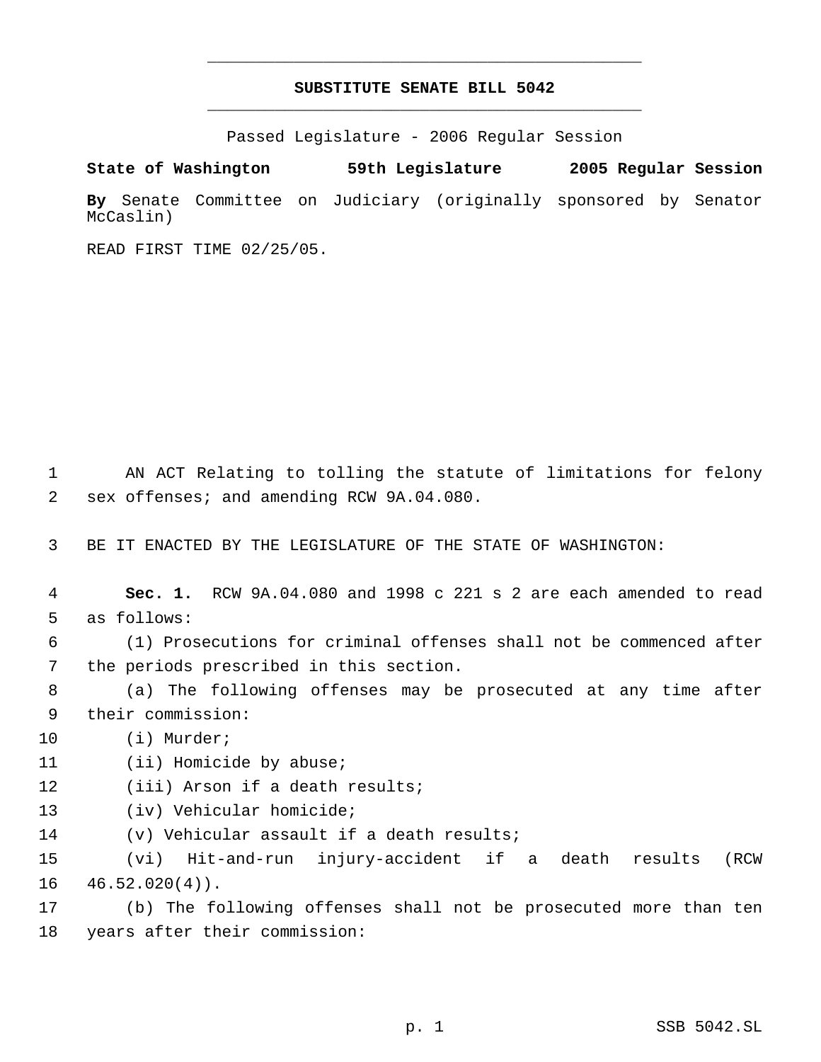## **SUBSTITUTE SENATE BILL 5042** \_\_\_\_\_\_\_\_\_\_\_\_\_\_\_\_\_\_\_\_\_\_\_\_\_\_\_\_\_\_\_\_\_\_\_\_\_\_\_\_\_\_\_\_\_

\_\_\_\_\_\_\_\_\_\_\_\_\_\_\_\_\_\_\_\_\_\_\_\_\_\_\_\_\_\_\_\_\_\_\_\_\_\_\_\_\_\_\_\_\_

Passed Legislature - 2006 Regular Session

**State of Washington 59th Legislature 2005 Regular Session By** Senate Committee on Judiciary (originally sponsored by Senator McCaslin)

READ FIRST TIME 02/25/05.

 1 AN ACT Relating to tolling the statute of limitations for felony 2 sex offenses; and amending RCW 9A.04.080.

3 BE IT ENACTED BY THE LEGISLATURE OF THE STATE OF WASHINGTON:

 4 **Sec. 1.** RCW 9A.04.080 and 1998 c 221 s 2 are each amended to read 5 as follows:

 6 (1) Prosecutions for criminal offenses shall not be commenced after 7 the periods prescribed in this section.

 8 (a) The following offenses may be prosecuted at any time after 9 their commission:

- 10 (i) Murder;
- 11 (ii) Homicide by abuse;
- 12 (iii) Arson if a death results;
- 13 (iv) Vehicular homicide;
- 14 (v) Vehicular assault if a death results;

15 (vi) Hit-and-run injury-accident if a death results (RCW  $16 \quad 46.52.020(4)$ .

17 (b) The following offenses shall not be prosecuted more than ten 18 years after their commission: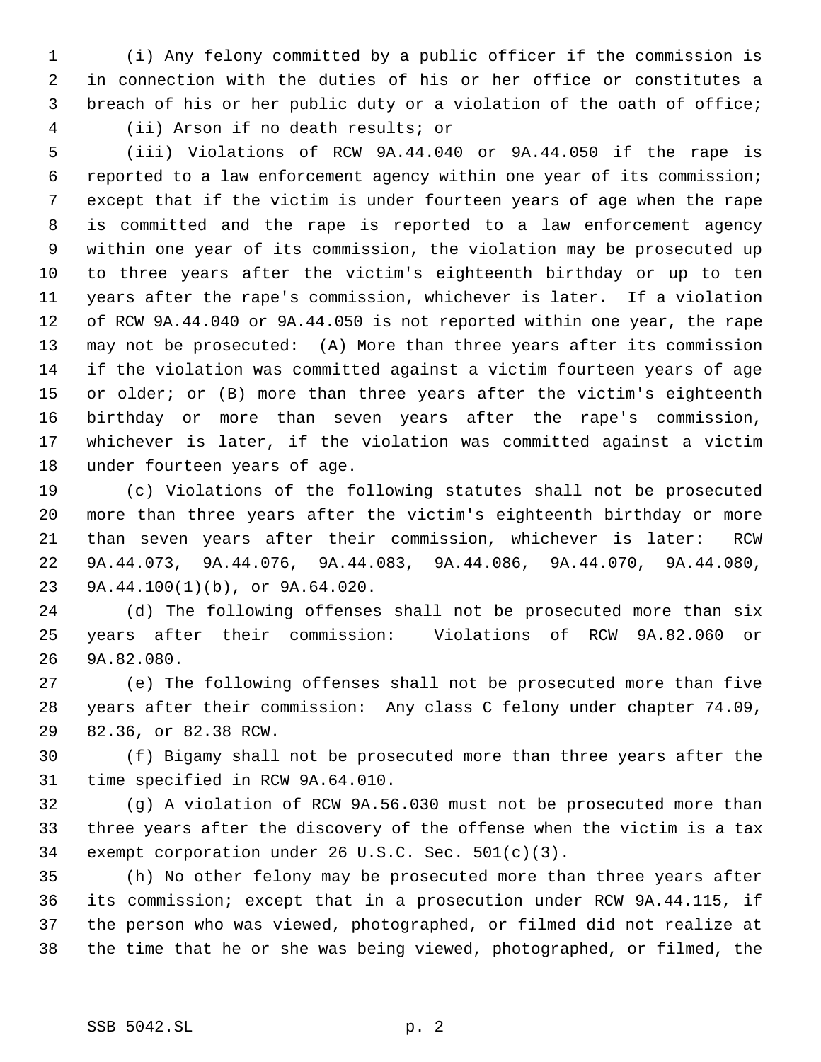(i) Any felony committed by a public officer if the commission is in connection with the duties of his or her office or constitutes a breach of his or her public duty or a violation of the oath of office; (ii) Arson if no death results; or

 (iii) Violations of RCW 9A.44.040 or 9A.44.050 if the rape is reported to a law enforcement agency within one year of its commission; except that if the victim is under fourteen years of age when the rape is committed and the rape is reported to a law enforcement agency within one year of its commission, the violation may be prosecuted up to three years after the victim's eighteenth birthday or up to ten years after the rape's commission, whichever is later. If a violation of RCW 9A.44.040 or 9A.44.050 is not reported within one year, the rape may not be prosecuted: (A) More than three years after its commission if the violation was committed against a victim fourteen years of age or older; or (B) more than three years after the victim's eighteenth birthday or more than seven years after the rape's commission, whichever is later, if the violation was committed against a victim under fourteen years of age.

 (c) Violations of the following statutes shall not be prosecuted more than three years after the victim's eighteenth birthday or more than seven years after their commission, whichever is later: RCW 9A.44.073, 9A.44.076, 9A.44.083, 9A.44.086, 9A.44.070, 9A.44.080, 9A.44.100(1)(b), or 9A.64.020.

 (d) The following offenses shall not be prosecuted more than six years after their commission: Violations of RCW 9A.82.060 or 9A.82.080.

 (e) The following offenses shall not be prosecuted more than five years after their commission: Any class C felony under chapter 74.09, 82.36, or 82.38 RCW.

 (f) Bigamy shall not be prosecuted more than three years after the time specified in RCW 9A.64.010.

 (g) A violation of RCW 9A.56.030 must not be prosecuted more than three years after the discovery of the offense when the victim is a tax exempt corporation under 26 U.S.C. Sec. 501(c)(3).

 (h) No other felony may be prosecuted more than three years after its commission; except that in a prosecution under RCW 9A.44.115, if the person who was viewed, photographed, or filmed did not realize at the time that he or she was being viewed, photographed, or filmed, the